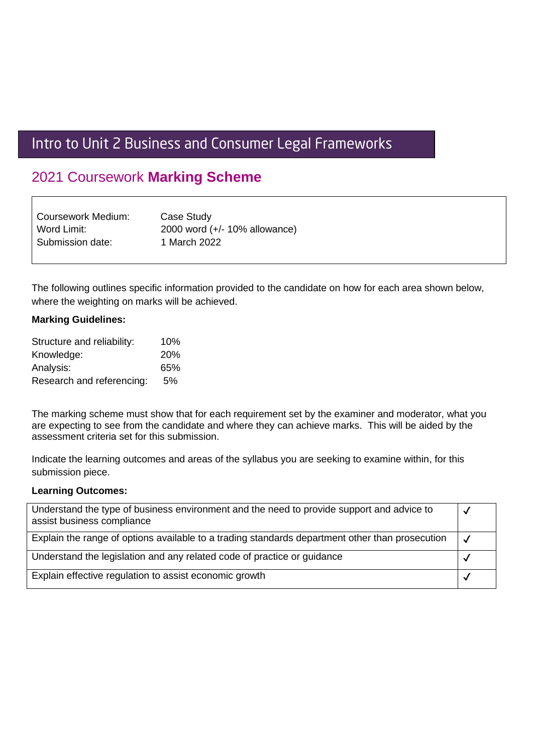# Intro to Unit 2 Business and Consumer Legal Frameworks

# 2021 Coursework **Marking Scheme**

| Coursework Medium: | Case Study                       |
|--------------------|----------------------------------|
| Word Limit:        | 2000 word $(+/- 10\%$ allowance) |
| Submission date:   | 1 March 2022                     |

The following outlines specific information provided to the candidate on how for each area shown below, where the weighting on marks will be achieved.

### **Marking Guidelines:**

| Structure and reliability: | 10%        |
|----------------------------|------------|
| Knowledge:                 | <b>20%</b> |
| Analysis:                  | 65%        |
| Research and referencing:  | 5%         |

The marking scheme must show that for each requirement set by the examiner and moderator, what you are expecting to see from the candidate and where they can achieve marks. This will be aided by the assessment criteria set for this submission.

Indicate the learning outcomes and areas of the syllabus you are seeking to examine within, for this submission piece.

#### **Learning Outcomes:**

| Understand the type of business environment and the need to provide support and advice to<br>assist business compliance |  |
|-------------------------------------------------------------------------------------------------------------------------|--|
| Explain the range of options available to a trading standards department other than prosecution                         |  |
| Understand the legislation and any related code of practice or guidance                                                 |  |
| Explain effective regulation to assist economic growth                                                                  |  |